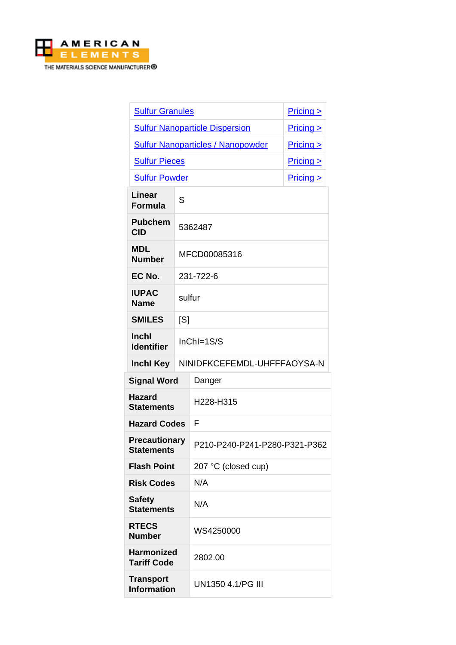

| <b>Sulfur Granules</b>                    |                             |                                          | $Pricing \ge$ |  |
|-------------------------------------------|-----------------------------|------------------------------------------|---------------|--|
|                                           |                             | <b>Sulfur Nanoparticle Dispersion</b>    | Pricing       |  |
|                                           |                             | <b>Sulfur Nanoparticles / Nanopowder</b> | $Pricing \ge$ |  |
| <b>Sulfur Pieces</b>                      |                             |                                          | $Pricing \ge$ |  |
| <b>Sulfur Powder</b>                      |                             |                                          | $Pricing \ge$ |  |
| Linear<br><b>Formula</b>                  | S                           |                                          |               |  |
| <b>Pubchem</b><br><b>CID</b>              |                             | 5362487                                  |               |  |
| <b>MDL</b><br><b>Number</b>               |                             | MFCD00085316                             |               |  |
| EC No.                                    | 231-722-6                   |                                          |               |  |
| <b>IUPAC</b><br><b>Name</b>               | sulfur                      |                                          |               |  |
| <b>SMILES</b>                             | [S]                         |                                          |               |  |
| <b>Inchl</b><br><b>Identifier</b>         |                             | $InChI=1S/S$                             |               |  |
| <b>Inchl Key</b>                          | NINIDFKCEFEMDL-UHFFFAOYSA-N |                                          |               |  |
| <b>Signal Word</b>                        |                             | Danger                                   |               |  |
| <b>Hazard</b><br><b>Statements</b>        |                             | H228-H315                                |               |  |
| <b>Hazard Codes</b>                       |                             | F                                        |               |  |
| <b>Precautionary</b><br><b>Statements</b> |                             | P210-P240-P241-P280-P321-P362            |               |  |
| <b>Flash Point</b>                        |                             | 207 °C (closed cup)                      |               |  |
| <b>Risk Codes</b>                         |                             | N/A                                      |               |  |
| <b>Safety</b><br><b>Statements</b>        |                             | N/A                                      |               |  |
| <b>RTECS</b><br><b>Number</b>             |                             | WS4250000                                |               |  |
| <b>Harmonized</b><br><b>Tariff Code</b>   |                             | 2802.00                                  |               |  |
| <b>Transport</b><br><b>Information</b>    |                             | UN1350 4.1/PG III                        |               |  |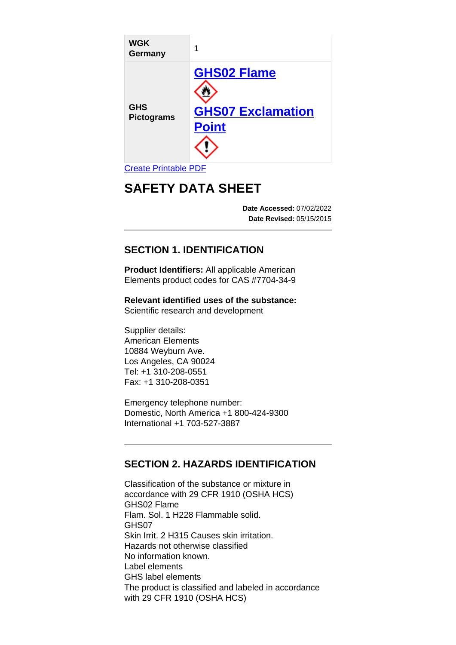| <b>WGK</b><br>Germany           | 1                                                              |
|---------------------------------|----------------------------------------------------------------|
| <b>GHS</b><br><b>Pictograms</b> | <b>GHS02 Flame</b><br><b>GHS07 Exclamation</b><br><b>Point</b> |

## [Create Printable PDF](https://www.americanelements.com/printpdf/cas/7704-34-9/sds)

# **SAFETY DATA SHEET**

**Date Accessed:** 07/02/2022 **Date Revised:** 05/15/2015

## **SECTION 1. IDENTIFICATION**

**Product Identifiers:** All applicable American Elements product codes for CAS #7704-34-9

**Relevant identified uses of the substance:** Scientific research and development

Supplier details: American Elements 10884 Weyburn Ave. Los Angeles, CA 90024 Tel: +1 310-208-0551 Fax: +1 310-208-0351

Emergency telephone number: Domestic, North America +1 800-424-9300 International +1 703-527-3887

## **SECTION 2. HAZARDS IDENTIFICATION**

Classification of the substance or mixture in accordance with 29 CFR 1910 (OSHA HCS) GHS02 Flame Flam. Sol. 1 H228 Flammable solid. GHS07 Skin Irrit. 2 H315 Causes skin irritation. Hazards not otherwise classified No information known. Label elements GHS label elements The product is classified and labeled in accordance with 29 CFR 1910 (OSHA HCS)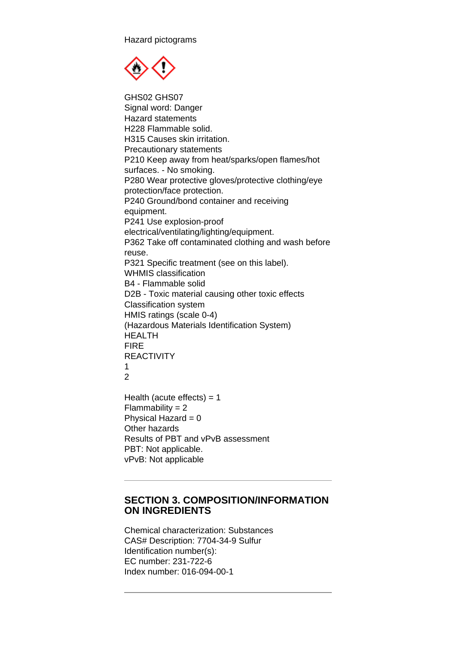Hazard pictograms



GHS02 GHS07 Signal word: Danger Hazard statements H228 Flammable solid. H315 Causes skin irritation. Precautionary statements P210 Keep away from heat/sparks/open flames/hot surfaces. - No smoking. P280 Wear protective gloves/protective clothing/eye protection/face protection. P240 Ground/bond container and receiving equipment. P241 Use explosion-proof electrical/ventilating/lighting/equipment. P362 Take off contaminated clothing and wash before reuse. P321 Specific treatment (see on this label). WHMIS classification B4 - Flammable solid D2B - Toxic material causing other toxic effects Classification system HMIS ratings (scale 0-4) (Hazardous Materials Identification System) HEALTH FIRE REACTIVITY 1  $\mathfrak{D}$ Health (acute effects)  $= 1$  $Flammability = 2$ Physical Hazard  $= 0$ Other hazards

Results of PBT and vPvB assessment PBT: Not applicable. vPvB: Not applicable

#### **SECTION 3. COMPOSITION/INFORMATION ON INGREDIENTS**

Chemical characterization: Substances CAS# Description: 7704-34-9 Sulfur Identification number(s): EC number: 231-722-6 Index number: 016-094-00-1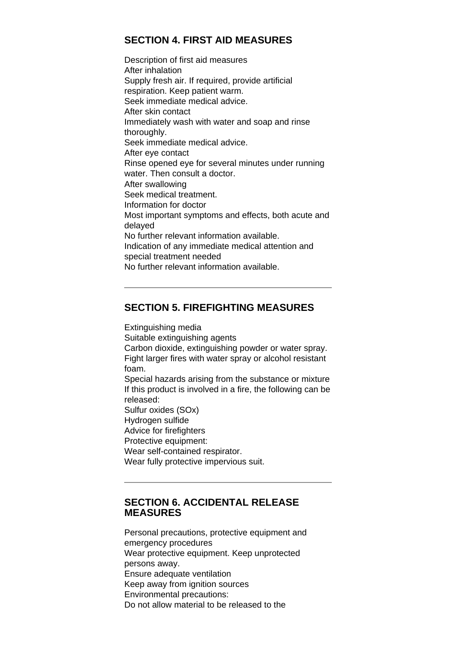## **SECTION 4. FIRST AID MEASURES**

Description of first aid measures After inhalation Supply fresh air. If required, provide artificial respiration. Keep patient warm. Seek immediate medical advice. After skin contact Immediately wash with water and soap and rinse thoroughly. Seek immediate medical advice. After eye contact Rinse opened eye for several minutes under running water. Then consult a doctor. After swallowing Seek medical treatment. Information for doctor Most important symptoms and effects, both acute and delayed No further relevant information available. Indication of any immediate medical attention and special treatment needed No further relevant information available.

## **SECTION 5. FIREFIGHTING MEASURES**

Extinguishing media Suitable extinguishing agents Carbon dioxide, extinguishing powder or water spray. Fight larger fires with water spray or alcohol resistant foam. Special hazards arising from the substance or mixture If this product is involved in a fire, the following can be released: Sulfur oxides (SOx) Hydrogen sulfide Advice for firefighters Protective equipment: Wear self-contained respirator. Wear fully protective impervious suit.

#### **SECTION 6. ACCIDENTAL RELEASE MEASURES**

Personal precautions, protective equipment and emergency procedures Wear protective equipment. Keep unprotected persons away. Ensure adequate ventilation Keep away from ignition sources Environmental precautions: Do not allow material to be released to the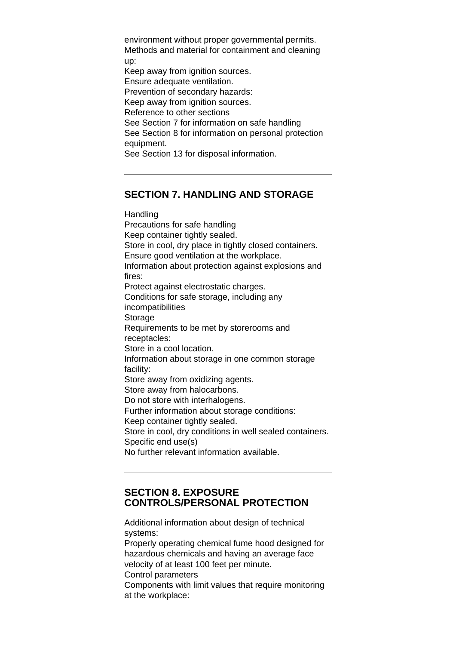environment without proper governmental permits. Methods and material for containment and cleaning up: Keep away from ignition sources. Ensure adequate ventilation. Prevention of secondary hazards: Keep away from ignition sources. Reference to other sections See Section 7 for information on safe handling See Section 8 for information on personal protection equipment. See Section 13 for disposal information.

#### **SECTION 7. HANDLING AND STORAGE**

**Handling** Precautions for safe handling Keep container tightly sealed. Store in cool, dry place in tightly closed containers. Ensure good ventilation at the workplace. Information about protection against explosions and fires: Protect against electrostatic charges. Conditions for safe storage, including any incompatibilities Storage Requirements to be met by storerooms and receptacles: Store in a cool location. Information about storage in one common storage facility: Store away from oxidizing agents. Store away from halocarbons. Do not store with interhalogens. Further information about storage conditions: Keep container tightly sealed. Store in cool, dry conditions in well sealed containers. Specific end use(s) No further relevant information available.

#### **SECTION 8. EXPOSURE CONTROLS/PERSONAL PROTECTION**

Additional information about design of technical systems: Properly operating chemical fume hood designed for hazardous chemicals and having an average face velocity of at least 100 feet per minute. Control parameters Components with limit values that require monitoring at the workplace: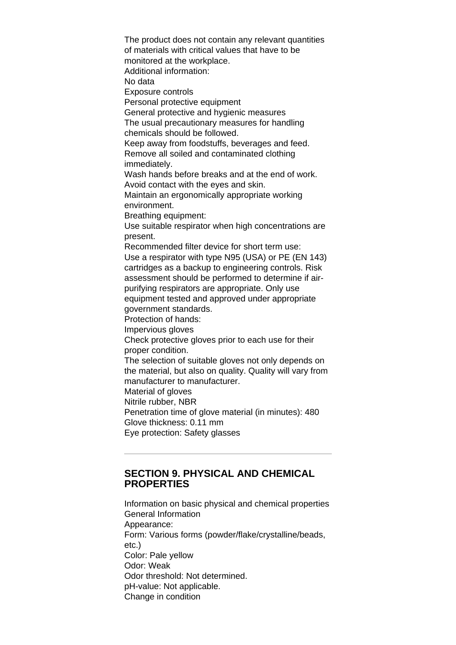The product does not contain any relevant quantities of materials with critical values that have to be monitored at the workplace. Additional information: No data Exposure controls Personal protective equipment General protective and hygienic measures The usual precautionary measures for handling chemicals should be followed. Keep away from foodstuffs, beverages and feed. Remove all soiled and contaminated clothing immediately. Wash hands before breaks and at the end of work. Avoid contact with the eyes and skin. Maintain an ergonomically appropriate working environment. Breathing equipment: Use suitable respirator when high concentrations are present. Recommended filter device for short term use: Use a respirator with type N95 (USA) or PE (EN 143) cartridges as a backup to engineering controls. Risk assessment should be performed to determine if airpurifying respirators are appropriate. Only use equipment tested and approved under appropriate government standards. Protection of hands: Impervious gloves Check protective gloves prior to each use for their proper condition. The selection of suitable gloves not only depends on the material, but also on quality. Quality will vary from manufacturer to manufacturer. Material of gloves Nitrile rubber, NBR Penetration time of glove material (in minutes): 480 Glove thickness: 0.11 mm Eye protection: Safety glasses

## **SECTION 9. PHYSICAL AND CHEMICAL PROPERTIES**

Information on basic physical and chemical properties General Information Appearance: Form: Various forms (powder/flake/crystalline/beads, etc.) Color: Pale yellow Odor: Weak Odor threshold: Not determined. pH-value: Not applicable. Change in condition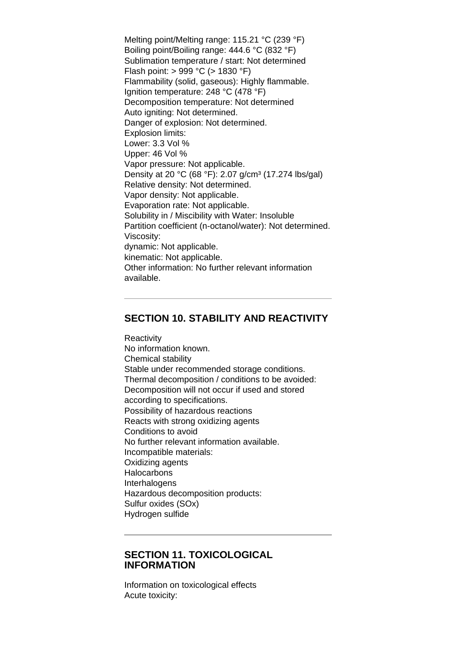Melting point/Melting range: 115.21 °C (239 °F) Boiling point/Boiling range: 444.6 °C (832 °F) Sublimation temperature / start: Not determined Flash point: > 999 °C (> 1830 °F) Flammability (solid, gaseous): Highly flammable. Ignition temperature: 248 °C (478 °F) Decomposition temperature: Not determined Auto igniting: Not determined. Danger of explosion: Not determined. Explosion limits: Lower: 3.3 Vol % Upper: 46 Vol % Vapor pressure: Not applicable. Density at 20 °C (68 °F): 2.07 g/cm<sup>3</sup> (17.274 lbs/gal) Relative density: Not determined. Vapor density: Not applicable. Evaporation rate: Not applicable. Solubility in / Miscibility with Water: Insoluble Partition coefficient (n-octanol/water): Not determined. Viscosity: dynamic: Not applicable. kinematic: Not applicable. Other information: No further relevant information available.

## **SECTION 10. STABILITY AND REACTIVITY**

**Reactivity** No information known. Chemical stability Stable under recommended storage conditions. Thermal decomposition / conditions to be avoided: Decomposition will not occur if used and stored according to specifications. Possibility of hazardous reactions Reacts with strong oxidizing agents Conditions to avoid No further relevant information available. Incompatible materials: Oxidizing agents **Halocarbons** Interhalogens Hazardous decomposition products: Sulfur oxides (SOx) Hydrogen sulfide

#### **SECTION 11. TOXICOLOGICAL INFORMATION**

Information on toxicological effects Acute toxicity: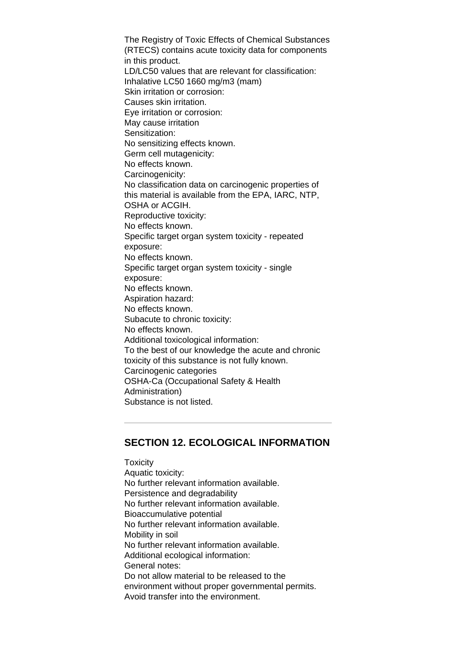The Registry of Toxic Effects of Chemical Substances (RTECS) contains acute toxicity data for components in this product. LD/LC50 values that are relevant for classification: Inhalative LC50 1660 mg/m3 (mam) Skin irritation or corrosion: Causes skin irritation. Eye irritation or corrosion: May cause irritation Sensitization: No sensitizing effects known. Germ cell mutagenicity: No effects known. Carcinogenicity: No classification data on carcinogenic properties of this material is available from the EPA, IARC, NTP, OSHA or ACGIH. Reproductive toxicity: No effects known. Specific target organ system toxicity - repeated exposure: No effects known. Specific target organ system toxicity - single exposure: No effects known. Aspiration hazard: No effects known. Subacute to chronic toxicity: No effects known. Additional toxicological information: To the best of our knowledge the acute and chronic toxicity of this substance is not fully known. Carcinogenic categories OSHA-Ca (Occupational Safety & Health Administration) Substance is not listed.

#### **SECTION 12. ECOLOGICAL INFORMATION**

**Toxicity** Aquatic toxicity: No further relevant information available. Persistence and degradability No further relevant information available. Bioaccumulative potential No further relevant information available. Mobility in soil No further relevant information available. Additional ecological information: General notes: Do not allow material to be released to the environment without proper governmental permits. Avoid transfer into the environment.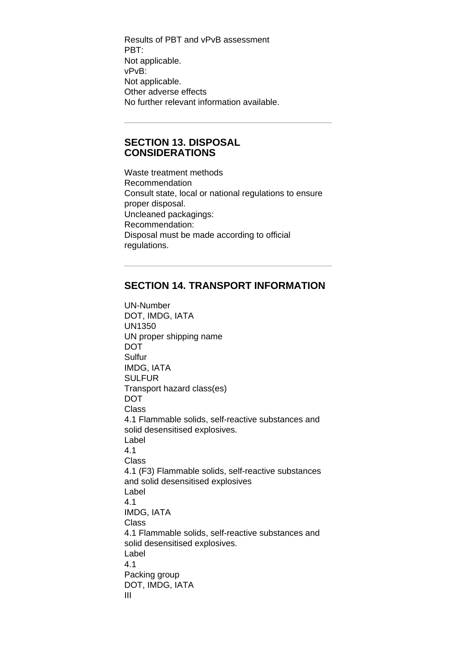Results of PBT and vPvB assessment PBT: Not applicable. vPvB: Not applicable. Other adverse effects No further relevant information available.

#### **SECTION 13. DISPOSAL CONSIDERATIONS**

Waste treatment methods Recommendation Consult state, local or national regulations to ensure proper disposal. Uncleaned packagings: Recommendation: Disposal must be made according to official regulations.

## **SECTION 14. TRANSPORT INFORMATION**

UN-Number DOT, IMDG, IATA UN1350 UN proper shipping name DOT Sulfur IMDG, IATA **SULFUR** Transport hazard class(es) DOT Class 4.1 Flammable solids, self-reactive substances and solid desensitised explosives. Label 4.1 Class 4.1 (F3) Flammable solids, self-reactive substances and solid desensitised explosives Label 4.1 IMDG, IATA Class 4.1 Flammable solids, self-reactive substances and solid desensitised explosives. Label 4.1 Packing group DOT, IMDG, IATA III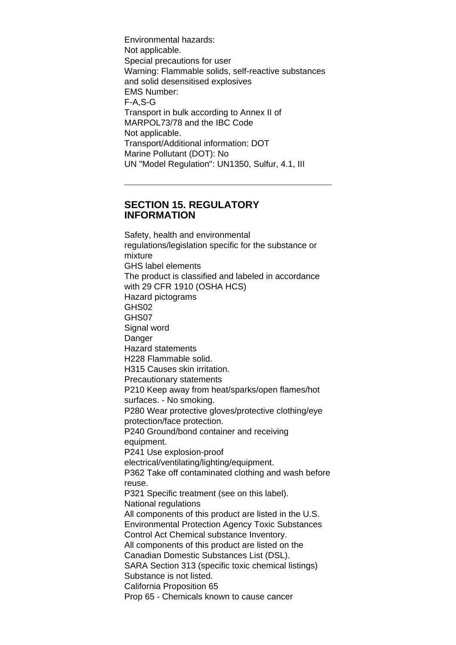Environmental hazards: Not applicable. Special precautions for user Warning: Flammable solids, self-reactive substances and solid desensitised explosives EMS Number: F-A,S-G Transport in bulk according to Annex II of MARPOL73/78 and the IBC Code Not applicable. Transport/Additional information: DOT Marine Pollutant (DOT): No UN "Model Regulation": UN1350, Sulfur, 4.1, III

#### **SECTION 15. REGULATORY INFORMATION**

Safety, health and environmental regulations/legislation specific for the substance or mixture GHS label elements The product is classified and labeled in accordance with 29 CFR 1910 (OSHA HCS) Hazard pictograms GHS02 GHS07 Signal word Danger Hazard statements H228 Flammable solid. H315 Causes skin irritation. Precautionary statements P210 Keep away from heat/sparks/open flames/hot surfaces. - No smoking. P280 Wear protective gloves/protective clothing/eye protection/face protection. P240 Ground/bond container and receiving equipment. P241 Use explosion-proof electrical/ventilating/lighting/equipment. P362 Take off contaminated clothing and wash before reuse. P321 Specific treatment (see on this label). National regulations All components of this product are listed in the U.S. Environmental Protection Agency Toxic Substances Control Act Chemical substance Inventory. All components of this product are listed on the Canadian Domestic Substances List (DSL). SARA Section 313 (specific toxic chemical listings) Substance is not listed. California Proposition 65 Prop 65 - Chemicals known to cause cancer